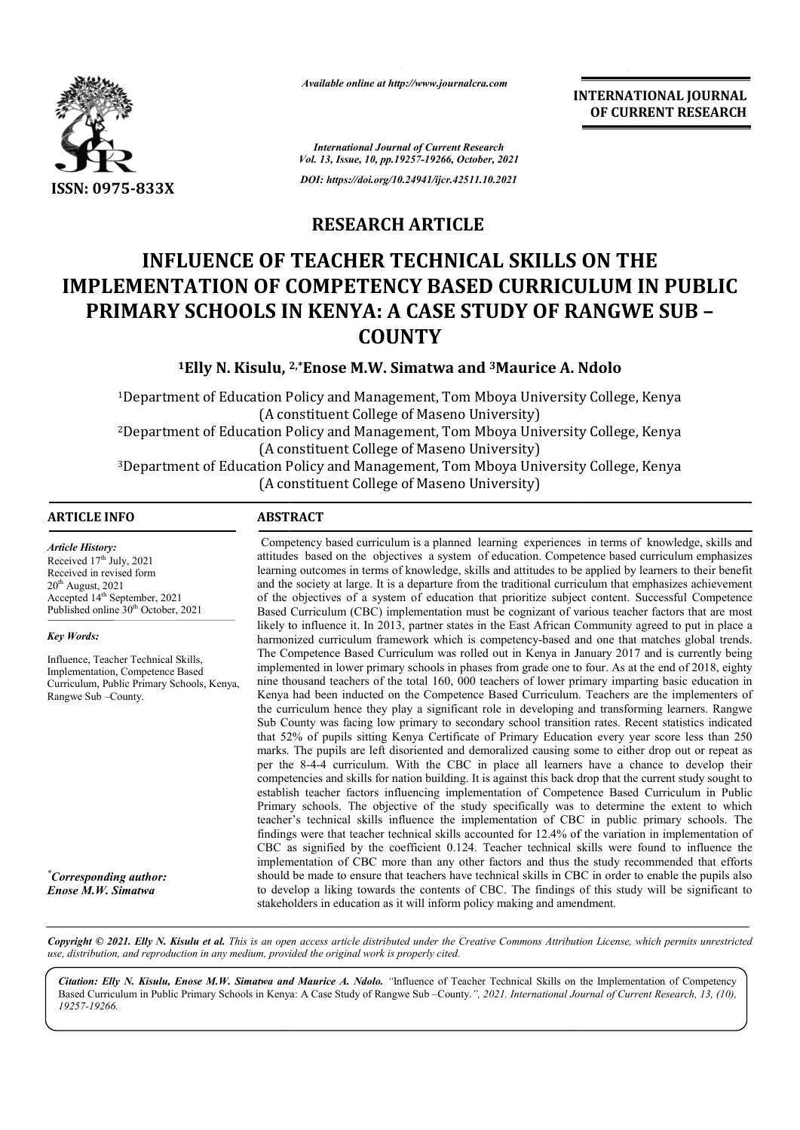

*Available online at http://www.journalcra.com*

**INTERNATIONAL JOURNAL OF CURRENT RESEARCH**

*International Journal of Current Research Vol. 13, Issue, 10, pp.19257-19266, October, 2021 DOI: https://doi.org/10.24941/ijcr.42511.10.2021*

### **RESEARCH ARTICLE**

# **INFLUENCE OF TEACHER TECHNICAL SKILLS ON THE IMPLEMENTATION OF COMPETENCY BASED CURRICULUM IN PUBLIC IPLEMENTATION OF COMPETENCY BASED CURRICULUM IN PUBLIC<br>PRIMARY SCHOOLS IN KENYA: A CASE STUDY OF RANGWE SUB – COUNTY**

**1Elly N. Kisulu, 2,\*Enose M.W. Simatwa and 3Maurice A. Ndolo**

1Department of Education Policy and Management, Tom Mboya University College, Kenya (A constituent College of Maseno University) 2Department of Education Policy and Management, Tom Mboya University College, Kenya (A constituent College of Maseno University) 3Department of Education Policy and Management, Tom Mboya University College, Kenya (A constituent College of Maseno University) Department of Education Policy and Management, Tom (A constituent College of Maseno I<br>Department of Education Policy and Management, Tom<br>(A constituent College of Maseno I)<br>Department of Education Policy and Management, To

### **ARTICLE INFO ABSTRACT**

*Article History: Article History:* Received  $17<sup>th</sup>$  July, 2021 Received in revised form<br>20<sup>th</sup> August, 2021  $20<sup>th</sup>$  August,  $2021$ Accepted 14<sup>th</sup> September, 2021 Published online 30<sup>th</sup> October, 2021

#### *Key Words:*

Influence, Teacher Technical Skills, Implementation, Competence Based Curriculum, Public Primary Schools, Kenya, Rangwe Sub –County.

*\* Corresponding author: Enose M.W. Simatwa*

Competency based curriculum is a planned learning experiences in terms of knowledge, skills and attitudes based on the objectives a system of education. Competence based curriculum emphasizes learning outcomes in terms of knowledge, skills and attitudes to be applied by learners to their benefit and the society at large. It is a departure from the traditional curriculum that emphasizes achievement of the objectives of a system of education that prioritize subject content. Successful Competence attitudes based on the objectives a system of education. Competence based curriculum emphasizes<br>learning outcomes in terms of knowledge, skills and attitudes to be applied by learners to their benefit<br>and the society at la likely to influence it. In 2013, partner states in the East African Community agreed to put in place a harmonized curriculum framework which is competency-based and one that matches global trends. The Competence Based Curriculum was rolled out in Kenya in January 2017 and is currently being implemented in lower primary schools in phases from grade one to four. As at the end of 2018, eighty nine thousand teachers of the total 160, 000 teachers of lower primary imparting basic education in Kenya had been i inducted on the Competence Based Curriculum. Teachers are the implementers of the curriculum hence they play a significant role in developing and transforming learners. Rangwe Sub County was facing low primary to secondary school transition rates. Recent statistics indicated that 52% of pupils sitting Kenya Certificate of Primary Education every year score less than 250 marks. The pupils are left disoriented and demoralized causing some to either drop out or repeat as per the 8 8-4-4 curriculum. With the CBC in place all learners have a chance to develop their competencies and skills for nation building. It is against this back drop that the current study sought to establish teacher factors influencing implementation of Competence Based Curriculum in Public Primary schools. The objective of the study specifically was to determine the extent to which teacher's technical skills influence the implementation of CBC in public primary schools. findings were that teacher technical skills accounted for 12.4% of the variation in implementation of CBC as signified by the coefficient  $0.124$ . Teacher technical skills were found to influence the implementation of CBC more than any other factors and thus the study recommended that efforts should be made to ensure that teachers have technical skills in CBC in order to enable the pupils also to develop a liking towards the contents of CBC. The findings of this study will be significant to stakeholders in education as it will inform policy making and amendment. mary schools. The objective of the study specifically was to d<br>cher's technical skills influence the implementation of CBC in<br>dings were that teacher technical skills accounted for 12.4% of the likely to influence it. In 2013, partner states in the East African Community agreed to put in place a harmonized curriculum framework which is competency-based and one that matches global trends. The Competence Based Curr that 52% of pupils sitting Kenya Certificate of Primary Education every year score less than 250 marks. The pupils are left disoriented and demoralized causing some to either drop out or repeat as per the 8-4-4 curriculum. implementation of CBC more than any other factors and thus the study recommended that should be made to ensure that teachers have technical skills in CBC in order to enable the pup to develop a liking towards the contents

Copyright © 2021. Elly N. Kisulu et al. This is an open access article distributed under the Creative Commons Attribution License, which permits unrestricted *use, distribution, and reproduction in any medium, provided the original work is properly cited.*

Citation: Elly N. Kisulu, Enose M.W. Simatwa and Maurice A. Ndolo. "Influence of Teacher Technical Skills on the Implementation of Competency Based Curriculum in Public Primary Schools in Kenya: A Case Study of Rangwe Sub –County.*", 2021. International Journal of Current Research, 13, (10),19257-19266.*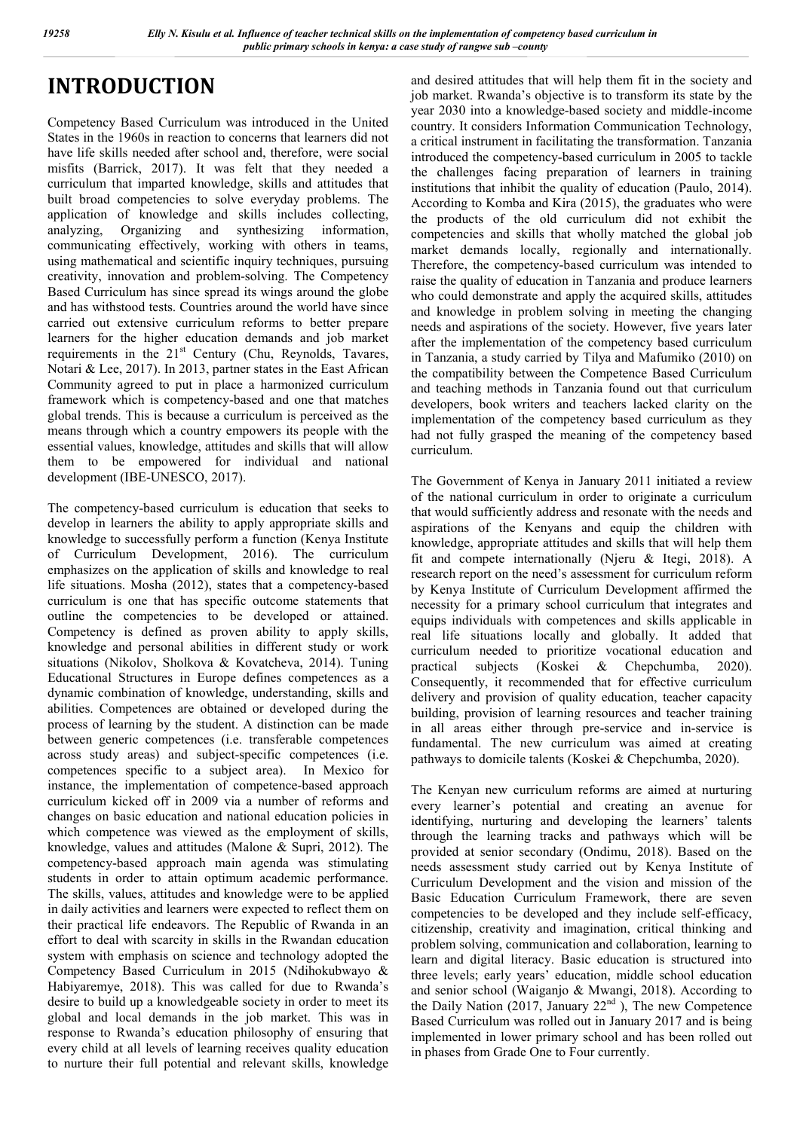# **INTRODUCTION**

Competency Based Curriculum was introduced in the United States in the 1960s in reaction to concerns that learners did not have life skills needed after school and, therefore, were social misfits (Barrick, 2017). It was felt that they needed a curriculum that imparted knowledge, skills and attitudes that built broad competencies to solve everyday problems. The application of knowledge and skills includes collecting, analyzing, Organizing and synthesizing information, communicating effectively, working with others in teams, using mathematical and scientific inquiry techniques, pursuing creativity, innovation and problem-solving. The Competency Based Curriculum has since spread its wings around the globe and has withstood tests. Countries around the world have since carried out extensive curriculum reforms to better prepare learners for the higher education demands and job market requirements in the 21<sup>st</sup> Century (Chu, Reynolds, Tavares, Notari & Lee, 2017). In 2013, partner states in the East African Community agreed to put in place a harmonized curriculum framework which is competency-based and one that matches global trends. This is because a curriculum is perceived as the means through which a country empowers its people with the essential values, knowledge, attitudes and skills that will allow them to be empowered for individual and national development (IBE-UNESCO, 2017).

The competency-based curriculum is education that seeks to develop in learners the ability to apply appropriate skills and knowledge to successfully perform a function (Kenya Institute of Curriculum Development, 2016). The curriculum emphasizes on the application of skills and knowledge to real life situations. Mosha (2012), states that a competency-based curriculum is one that has specific outcome statements that outline the competencies to be developed or attained. Competency is defined as proven ability to apply skills, knowledge and personal abilities in different study or work situations (Nikolov, Sholkova & Kovatcheva, 2014). Tuning Educational Structures in Europe defines competences as a dynamic combination of knowledge, understanding, skills and abilities. Competences are obtained or developed during the process of learning by the student. A distinction can be made between generic competences (i.e. transferable competences across study areas) and subject-specific competences (i.e. competences specific to a subject area). In Mexico for instance, the implementation of competence-based approach curriculum kicked off in 2009 via a number of reforms and changes on basic education and national education policies in which competence was viewed as the employment of skills. knowledge, values and attitudes (Malone & Supri, 2012). The competency-based approach main agenda was stimulating students in order to attain optimum academic performance. The skills, values, attitudes and knowledge were to be applied in daily activities and learners were expected to reflect them on their practical life endeavors. The Republic of Rwanda in an effort to deal with scarcity in skills in the Rwandan education system with emphasis on science and technology adopted the Competency Based Curriculum in 2015 (Ndihokubwayo & Habiyaremye, 2018). This was called for due to Rwanda's desire to build up a knowledgeable society in order to meet its global and local demands in the job market. This was in response to Rwanda's education philosophy of ensuring that every child at all levels of learning receives quality education to nurture their full potential and relevant skills, knowledge

and desired attitudes that will help them fit in the society and job market. Rwanda's objective is to transform its state by the year 2030 into a knowledge-based society and middle-income country. It considers Information Communication Technology, a critical instrument in facilitating the transformation. Tanzania introduced the competency-based curriculum in 2005 to tackle the challenges facing preparation of learners in training institutions that inhibit the quality of education (Paulo, 2014). According to Komba and Kira (2015), the graduates who were the products of the old curriculum did not exhibit the competencies and skills that wholly matched the global job market demands locally, regionally and internationally. Therefore, the competency-based curriculum was intended to raise the quality of education in Tanzania and produce learners who could demonstrate and apply the acquired skills, attitudes and knowledge in problem solving in meeting the changing needs and aspirations of the society. However, five years later after the implementation of the competency based curriculum in Tanzania, a study carried by Tilya and Mafumiko (2010) on the compatibility between the Competence Based Curriculum and teaching methods in Tanzania found out that curriculum developers, book writers and teachers lacked clarity on the implementation of the competency based curriculum as they had not fully grasped the meaning of the competency based curriculum.

The Government of Kenya in January 2011 initiated a review of the national curriculum in order to originate a curriculum that would sufficiently address and resonate with the needs and aspirations of the Kenyans and equip the children with knowledge, appropriate attitudes and skills that will help them fit and compete internationally (Njeru & Itegi, 2018). A research report on the need's assessment for curriculum reform by Kenya Institute of Curriculum Development affirmed the necessity for a primary school curriculum that integrates and equips individuals with competences and skills applicable in real life situations locally and globally. It added that curriculum needed to prioritize vocational education and practical subjects (Koskei & Chepchumba, 2020). Consequently, it recommended that for effective curriculum delivery and provision of quality education, teacher capacity building, provision of learning resources and teacher training in all areas either through pre-service and in-service is fundamental. The new curriculum was aimed at creating pathways to domicile talents (Koskei & Chepchumba, 2020).

The Kenyan new curriculum reforms are aimed at nurturing every learner's potential and creating an avenue for identifying, nurturing and developing the learners' talents through the learning tracks and pathways which will be provided at senior secondary (Ondimu, 2018). Based on the needs assessment study carried out by Kenya Institute of Curriculum Development and the vision and mission of the Basic Education Curriculum Framework, there are seven competencies to be developed and they include self-efficacy, citizenship, creativity and imagination, critical thinking and problem solving, communication and collaboration, learning to learn and digital literacy. Basic education is structured into three levels; early years' education, middle school education and senior school (Waiganjo & Mwangi, 2018). According to the Daily Nation (2017, January  $22<sup>nd</sup>$ ), The new Competence Based Curriculum was rolled out in January 2017 and is being implemented in lower primary school and has been rolled out in phases from Grade One to Four currently.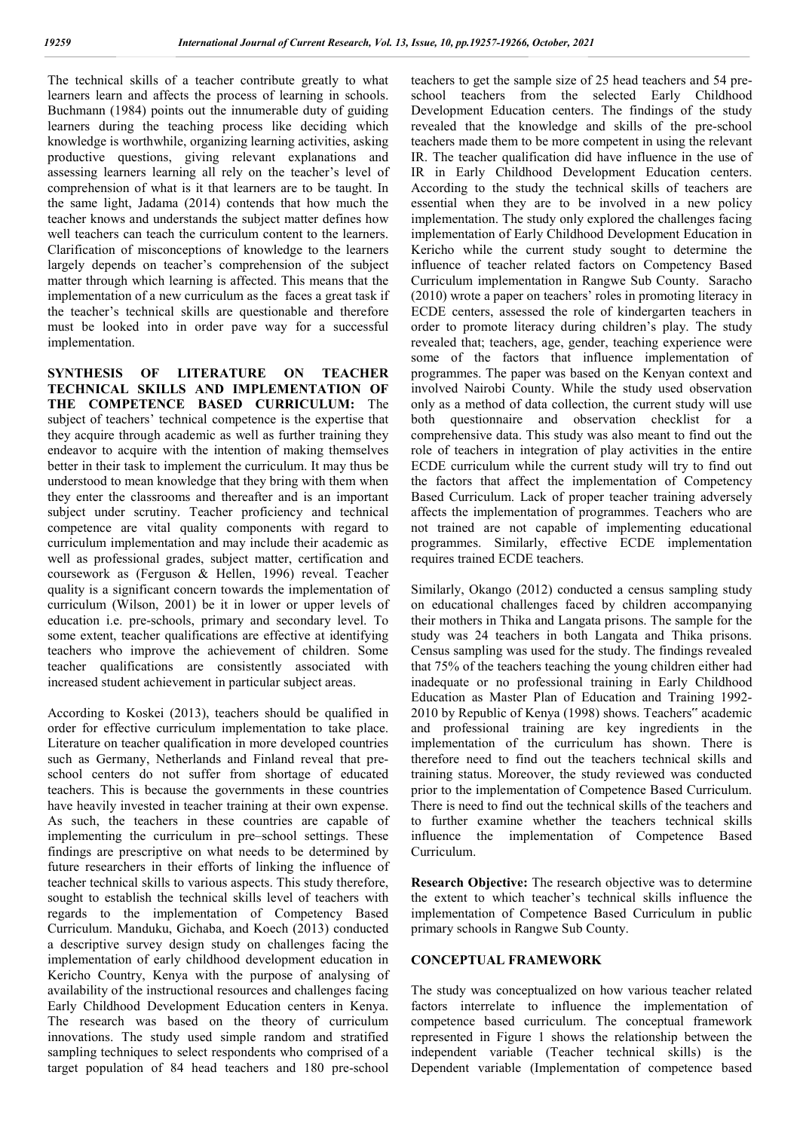The technical skills of a teacher contribute greatly to what learners learn and affects the process of learning in schools. Buchmann (1984) points out the innumerable duty of guiding learners during the teaching process like deciding which knowledge is worthwhile, organizing learning activities, asking productive questions, giving relevant explanations and assessing learners learning all rely on the teacher's level of comprehension of what is it that learners are to be taught. In the same light, Jadama (2014) contends that how much the teacher knows and understands the subject matter defines how well teachers can teach the curriculum content to the learners. Clarification of misconceptions of knowledge to the learners largely depends on teacher's comprehension of the subject matter through which learning is affected. This means that the implementation of a new curriculum as the faces a great task if the teacher's technical skills are questionable and therefore must be looked into in order pave way for a successful implementation.

**SYNTHESIS OF LITERATURE ON TEACHER TECHNICAL SKILLS AND IMPLEMENTATION OF THE COMPETENCE BASED CURRICULUM:** The subject of teachers' technical competence is the expertise that they acquire through academic as well as further training they endeavor to acquire with the intention of making themselves better in their task to implement the curriculum. It may thus be understood to mean knowledge that they bring with them when they enter the classrooms and thereafter and is an important subject under scrutiny. Teacher proficiency and technical competence are vital quality components with regard to curriculum implementation and may include their academic as well as professional grades, subject matter, certification and coursework as (Ferguson & Hellen, 1996) reveal. Teacher quality is a significant concern towards the implementation of curriculum (Wilson, 2001) be it in lower or upper levels of education i.e. pre-schools, primary and secondary level. To some extent, teacher qualifications are effective at identifying teachers who improve the achievement of children. Some teacher qualifications are consistently associated with increased student achievement in particular subject areas.

According to Koskei (2013), teachers should be qualified in order for effective curriculum implementation to take place. Literature on teacher qualification in more developed countries such as Germany, Netherlands and Finland reveal that preschool centers do not suffer from shortage of educated teachers. This is because the governments in these countries have heavily invested in teacher training at their own expense. As such, the teachers in these countries are capable of implementing the curriculum in pre–school settings. These findings are prescriptive on what needs to be determined by future researchers in their efforts of linking the influence of teacher technical skills to various aspects. This study therefore, sought to establish the technical skills level of teachers with regards to the implementation of Competency Based Curriculum. Manduku, Gichaba, and Koech (2013) conducted a descriptive survey design study on challenges facing the implementation of early childhood development education in Kericho Country, Kenya with the purpose of analysing of availability of the instructional resources and challenges facing Early Childhood Development Education centers in Kenya. The research was based on the theory of curriculum innovations. The study used simple random and stratified sampling techniques to select respondents who comprised of a target population of 84 head teachers and 180 pre-school

teachers to get the sample size of 25 head teachers and 54 preschool teachers from the selected Early Childhood Development Education centers. The findings of the study revealed that the knowledge and skills of the pre-school teachers made them to be more competent in using the relevant IR. The teacher qualification did have influence in the use of IR in Early Childhood Development Education centers. According to the study the technical skills of teachers are essential when they are to be involved in a new policy implementation. The study only explored the challenges facing implementation of Early Childhood Development Education in Kericho while the current study sought to determine the influence of teacher related factors on Competency Based Curriculum implementation in Rangwe Sub County. Saracho (2010) wrote a paper on teachers' roles in promoting literacy in ECDE centers, assessed the role of kindergarten teachers in order to promote literacy during children's play. The study revealed that; teachers, age, gender, teaching experience were some of the factors that influence implementation of programmes. The paper was based on the Kenyan context and involved Nairobi County. While the study used observation only as a method of data collection, the current study will use both questionnaire and observation checklist for a comprehensive data. This study was also meant to find out the role of teachers in integration of play activities in the entire ECDE curriculum while the current study will try to find out the factors that affect the implementation of Competency Based Curriculum. Lack of proper teacher training adversely affects the implementation of programmes. Teachers who are not trained are not capable of implementing educational programmes. Similarly, effective ECDE implementation requires trained ECDE teachers.

Similarly, Okango (2012) conducted a census sampling study on educational challenges faced by children accompanying their mothers in Thika and Langata prisons. The sample for the study was 24 teachers in both Langata and Thika prisons. Census sampling was used for the study. The findings revealed that 75% of the teachers teaching the young children either had inadequate or no professional training in Early Childhood Education as Master Plan of Education and Training 1992- 2010 by Republic of Kenya (1998) shows. Teachers" academic and professional training are key ingredients in the implementation of the curriculum has shown. There is therefore need to find out the teachers technical skills and training status. Moreover, the study reviewed was conducted prior to the implementation of Competence Based Curriculum. There is need to find out the technical skills of the teachers and to further examine whether the teachers technical skills influence the implementation of Competence Based Curriculum.

**Research Objective:** The research objective was to determine the extent to which teacher's technical skills influence the implementation of Competence Based Curriculum in public primary schools in Rangwe Sub County.

### **CONCEPTUAL FRAMEWORK**

The study was conceptualized on how various teacher related factors interrelate to influence the implementation of competence based curriculum. The conceptual framework represented in Figure 1 shows the relationship between the independent variable (Teacher technical skills) is the Dependent variable (Implementation of competence based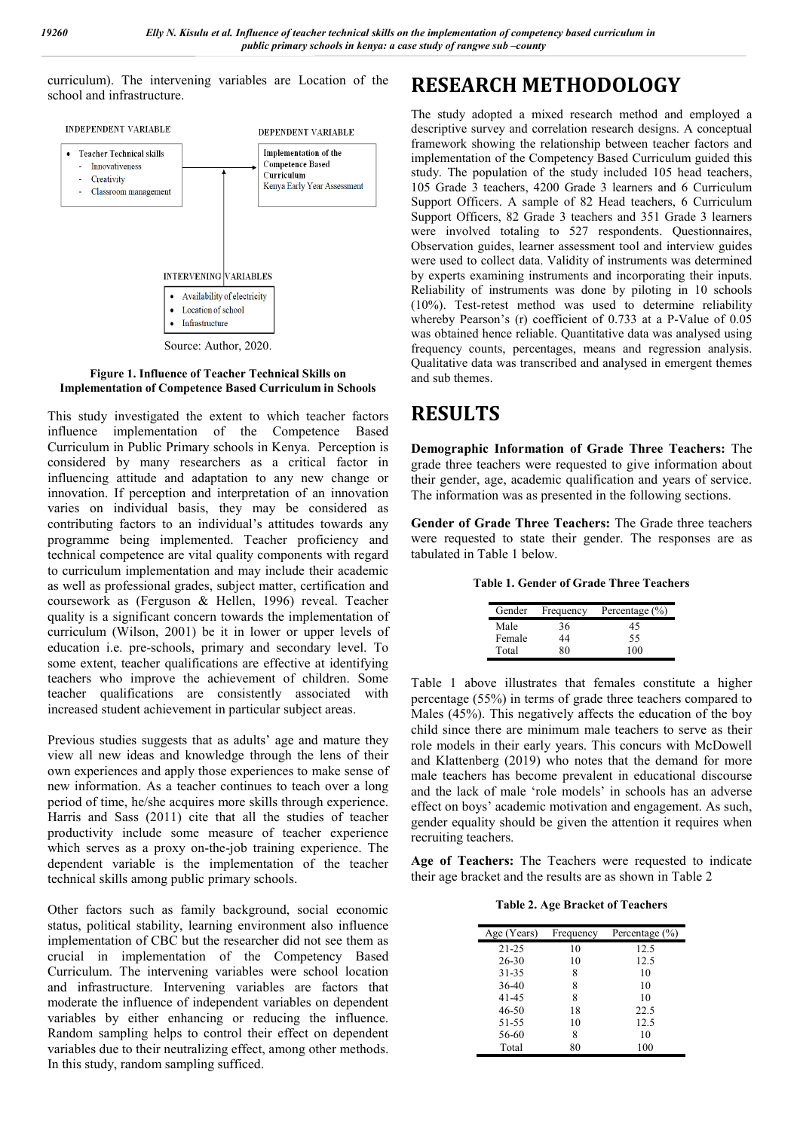curriculum). The intervening variables are Location of the school and infrastructure.



### **Figure 1. Influence of Teacher Technical Skills on Implementation of Competence Based Curriculum in Schools**

This study investigated the extent to which teacher factors influence implementation of the Competence Based Curriculum in Public Primary schools in Kenya. Perception is considered by many researchers as a critical factor in influencing attitude and adaptation to any new change or innovation. If perception and interpretation of an innovation varies on individual basis, they may be considered as contributing factors to an individual's attitudes towards any programme being implemented. Teacher proficiency and technical competence are vital quality components with regard to curriculum implementation and may include their academic as well as professional grades, subject matter, certification and coursework as (Ferguson & Hellen, 1996) reveal. Teacher quality is a significant concern towards the implementation of curriculum (Wilson, 2001) be it in lower or upper levels of education i.e. pre-schools, primary and secondary level. To some extent, teacher qualifications are effective at identifying teachers who improve the achievement of children. Some teacher qualifications are consistently associated with increased student achievement in particular subject areas.

Previous studies suggests that as adults' age and mature they view all new ideas and knowledge through the lens of their own experiences and apply those experiences to make sense of new information. As a teacher continues to teach over a long period of time, he/she acquires more skills through experience. Harris and Sass (2011) cite that all the studies of teacher productivity include some measure of teacher experience which serves as a proxy on-the-job training experience. The dependent variable is the implementation of the teacher technical skills among public primary schools.

Other factors such as family background, social economic status, political stability, learning environment also influence implementation of CBC but the researcher did not see them as crucial in implementation of the Competency Based Curriculum. The intervening variables were school location and infrastructure. Intervening variables are factors that moderate the influence of independent variables on dependent variables by either enhancing or reducing the influence. Random sampling helps to control their effect on dependent variables due to their neutralizing effect, among other methods. In this study, random sampling sufficed.

# **RESEARCH METHODOLOGY**

The study adopted a mixed research method and employed a descriptive survey and correlation research designs. A conceptual framework showing the relationship between teacher factors and implementation of the Competency Based Curriculum guided this study. The population of the study included 105 head teachers, 105 Grade 3 teachers, 4200 Grade 3 learners and 6 Curriculum Support Officers. A sample of 82 Head teachers, 6 Curriculum Support Officers, 82 Grade 3 teachers and 351 Grade 3 learners were involved totaling to 527 respondents. Questionnaires, Observation guides, learner assessment tool and interview guides were used to collect data. Validity of instruments was determined by experts examining instruments and incorporating their inputs. Reliability of instruments was done by piloting in 10 schools (10%). Test-retest method was used to determine reliability whereby Pearson's (r) coefficient of 0.733 at a P-Value of 0.05 was obtained hence reliable. Quantitative data was analysed using frequency counts, percentages, means and regression analysis. Qualitative data was transcribed and analysed in emergent themes and sub themes.

## **RESULTS**

**Demographic Information of Grade Three Teachers:** The grade three teachers were requested to give information about their gender, age, academic qualification and years of service. The information was as presented in the following sections.

**Gender of Grade Three Teachers:** The Grade three teachers were requested to state their gender. The responses are as tabulated in Table 1 below.

**Table 1. Gender of Grade Three Teachers**

| Gender | Frequency | Percentage $(\% )$ |
|--------|-----------|--------------------|
| Male   | 36        | 4٦                 |
| Female | 44        | 55                 |
| Total  |           | 100                |

Table 1 above illustrates that females constitute a higher percentage (55%) in terms of grade three teachers compared to Males (45%). This negatively affects the education of the boy child since there are minimum male teachers to serve as their role models in their early years. This concurs with McDowell and Klattenberg (2019) who notes that the demand for more male teachers has become prevalent in educational discourse and the lack of male 'role models' in schools has an adverse effect on boys' academic motivation and engagement. As such, gender equality should be given the attention it requires when recruiting teachers.

**Age of Teachers:** The Teachers were requested to indicate their age bracket and the results are as shown in Table 2

**Table 2. Age Bracket of Teachers**

| Age (Years) | Frequency | Percentage $(\% )$ |
|-------------|-----------|--------------------|
| $21 - 25$   | 10        | 12.5               |
| $26 - 30$   | 10        | 12.5               |
| 31-35       | 8         | 10                 |
| 36-40       | 8         | 10                 |
| 41-45       | 8         | 10                 |
| 46-50       | 18        | 22.5               |
| 51-55       | 10        | 12.5               |
| 56-60       | 8         | 10                 |
| Total       | 80        | 100                |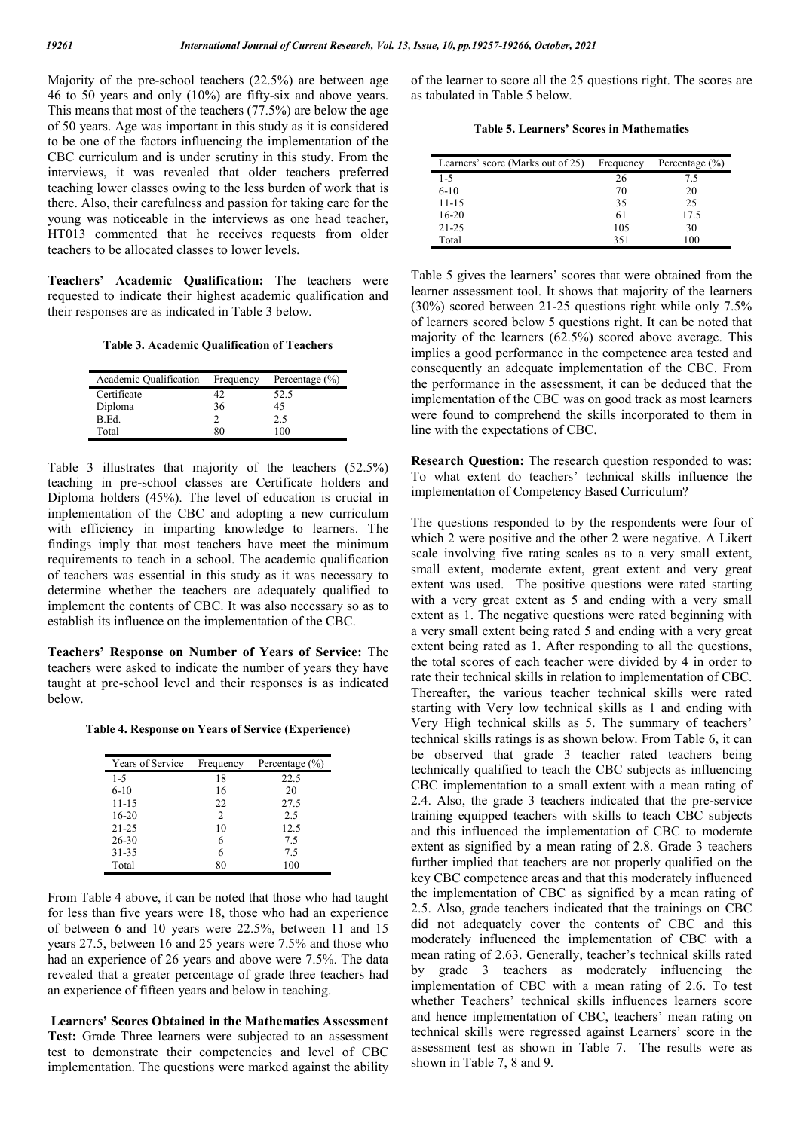Majority of the pre-school teachers (22.5%) are between age 46 to 50 years and only (10%) are fifty-six and above years. This means that most of the teachers (77.5%) are below the age of 50 years. Age was important in this study as it is considered to be one of the factors influencing the implementation of the CBC curriculum and is under scrutiny in this study. From the interviews, it was revealed that older teachers preferred teaching lower classes owing to the less burden of work that is there. Also, their carefulness and passion for taking care for the young was noticeable in the interviews as one head teacher, HT013 commented that he receives requests from older teachers to be allocated classes to lower levels.

**Teachers' Academic Qualification:** The teachers were requested to indicate their highest academic qualification and their responses are as indicated in Table 3 below.

**Table 3. Academic Qualification of Teachers**

| Frequency | Percentage $(\% )$ |
|-----------|--------------------|
| 42        | 52.5               |
| 36        | 45                 |
| າ         | 2.5                |
| 80        | 100                |
|           |                    |

Table 3 illustrates that majority of the teachers (52.5%) teaching in pre-school classes are Certificate holders and Diploma holders (45%). The level of education is crucial in implementation of the CBC and adopting a new curriculum with efficiency in imparting knowledge to learners. The findings imply that most teachers have meet the minimum requirements to teach in a school. The academic qualification of teachers was essential in this study as it was necessary to determine whether the teachers are adequately qualified to implement the contents of CBC. It was also necessary so as to establish its influence on the implementation of the CBC.

**Teachers' Response on Number of Years of Service:** The teachers were asked to indicate the number of years they have taught at pre-school level and their responses is as indicated below.

**Table 4. Response on Years of Service (Experience)**

| Years of Service | Frequency      | Percentage $(\% )$ |
|------------------|----------------|--------------------|
| $1 - 5$          | 18             | 22.5               |
| $6-10$           | 16             | 20                 |
| 11-15            | 22             | 27.5               |
| $16 - 20$        | $\mathfrak{D}$ | 2.5                |
| $21 - 25$        | 10             | 12.5               |
| 26-30            | 6              | 7.5                |
| 31-35            | 6              | 7.5                |
| Total            |                | 100                |

From Table 4 above, it can be noted that those who had taught for less than five years were 18, those who had an experience of between 6 and 10 years were 22.5%, between 11 and 15 years 27.5, between 16 and 25 years were 7.5% and those who had an experience of 26 years and above were 7.5%. The data revealed that a greater percentage of grade three teachers had an experience of fifteen years and below in teaching.

**Learners' Scores Obtained in the Mathematics Assessment Test:** Grade Three learners were subjected to an assessment test to demonstrate their competencies and level of CBC implementation. The questions were marked against the ability of the learner to score all the 25 questions right. The scores are as tabulated in Table 5 below.

| Learners' score (Marks out of 25) | Frequency | Percentage $(\% )$ |
|-----------------------------------|-----------|--------------------|
| $1 - 5$                           | 26        | 7.5                |
| $6 - 10$                          | 70        | 20                 |
| 11-15                             | 35        | 25                 |
| $16 - 20$                         | 61        | 17.5               |
| $21 - 25$                         | 105       | 30                 |
| Total                             | 351       | 100                |

Table 5 gives the learners' scores that were obtained from the learner assessment tool. It shows that majority of the learners (30%) scored between 21-25 questions right while only 7.5% of learners scored below 5 questions right. It can be noted that majority of the learners  $(62.5%)$  scored above average. This implies a good performance in the competence area tested and consequently an adequate implementation of the CBC. From the performance in the assessment, it can be deduced that the implementation of the CBC was on good track as most learners were found to comprehend the skills incorporated to them in line with the expectations of CBC.

**Research Question:** The research question responded to was: To what extent do teachers' technical skills influence the implementation of Competency Based Curriculum?

The questions responded to by the respondents were four of which 2 were positive and the other 2 were negative. A Likert scale involving five rating scales as to a very small extent, small extent, moderate extent, great extent and very great extent was used. The positive questions were rated starting with a very great extent as 5 and ending with a very small extent as 1. The negative questions were rated beginning with a very small extent being rated 5 and ending with a very great extent being rated as 1. After responding to all the questions, the total scores of each teacher were divided by 4 in order to rate their technical skills in relation to implementation of CBC. Thereafter, the various teacher technical skills were rated starting with Very low technical skills as 1 and ending with Very High technical skills as 5. The summary of teachers' technical skills ratings is as shown below. From Table 6, it can be observed that grade 3 teacher rated teachers being technically qualified to teach the CBC subjects as influencing CBC implementation to a small extent with a mean rating of 2.4. Also, the grade 3 teachers indicated that the pre-service training equipped teachers with skills to teach CBC subjects and this influenced the implementation of CBC to moderate extent as signified by a mean rating of 2.8. Grade 3 teachers further implied that teachers are not properly qualified on the key CBC competence areas and that this moderately influenced the implementation of CBC as signified by a mean rating of 2.5. Also, grade teachers indicated that the trainings on CBC did not adequately cover the contents of CBC and this moderately influenced the implementation of CBC with a mean rating of 2.63. Generally, teacher's technical skills rated by grade 3 teachers as moderately influencing the implementation of CBC with a mean rating of 2.6. To test whether Teachers' technical skills influences learners score and hence implementation of CBC, teachers' mean rating on technical skills were regressed against Learners' score in the assessment test as shown in Table 7. The results were as shown in Table 7, 8 and 9.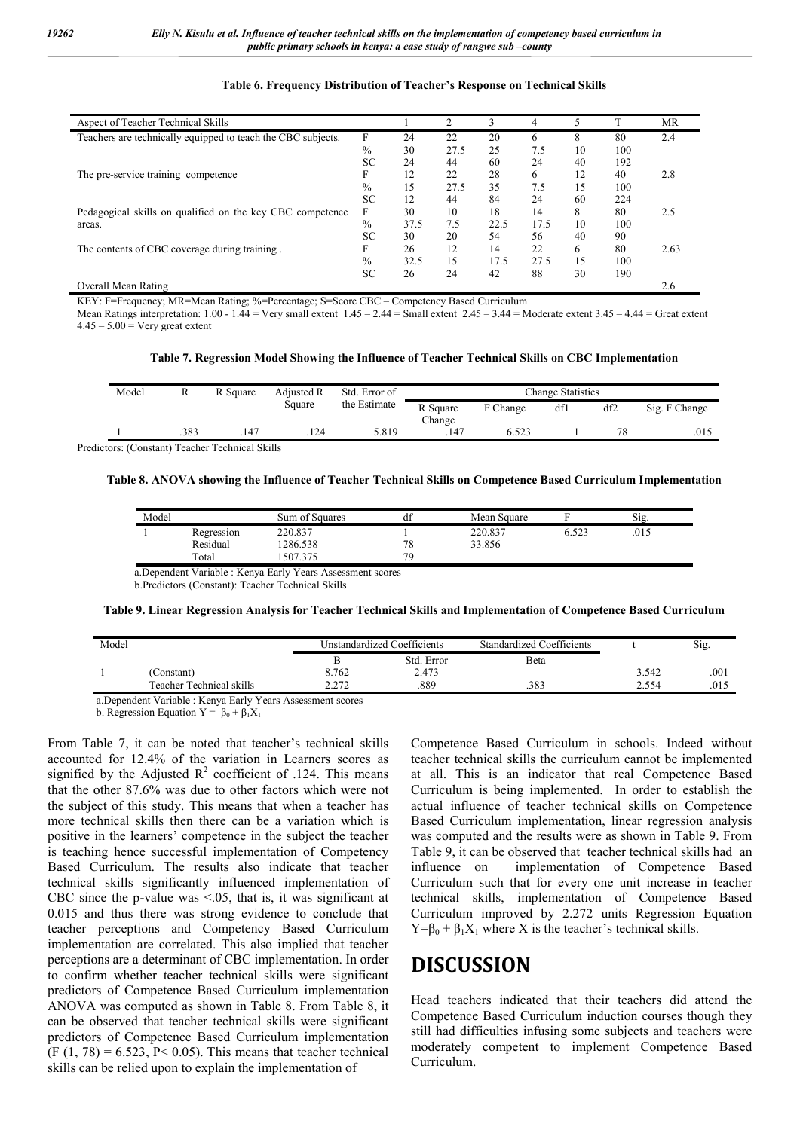| Aspect of Teacher Technical Skills                           |               |      |      | 3    | 4    |    |     | MR   |
|--------------------------------------------------------------|---------------|------|------|------|------|----|-----|------|
| Teachers are technically equipped to teach the CBC subjects. | F             | 24   | 22   | 20   | 6    | 8  | 80  | 2.4  |
|                                                              | $\%$          | 30   | 27.5 | 25   | 7.5  | 10 | 100 |      |
|                                                              | <b>SC</b>     | 24   | 44   | 60   | 24   | 40 | 192 |      |
| The pre-service training competence                          | F             | 12   | 22   | 28   | 6    | 12 | 40  | 2.8  |
|                                                              | $\%$          | 15   | 27.5 | 35   | 7.5  | 15 | 100 |      |
|                                                              | <b>SC</b>     | 12   | 44   | 84   | 24   | 60 | 224 |      |
| Pedagogical skills on qualified on the key CBC competence    | F             | 30   | 10   | 18   | 14   | 8  | 80  | 2.5  |
| areas.                                                       | $\%$          | 37.5 | 7.5  | 22.5 | 17.5 | 10 | 100 |      |
|                                                              | <b>SC</b>     | 30   | 20   | 54   | 56   | 40 | 90  |      |
| The contents of CBC coverage during training.                | F             | 26   | 12   | 14   | 22   | 6  | 80  | 2.63 |
|                                                              | $\frac{0}{0}$ | 32.5 | 15   | 17.5 | 27.5 | 15 | 100 |      |
|                                                              | SC            | 26   | 24   | 42   | 88   | 30 | 190 |      |
| Overall Mean Rating                                          |               |      |      |      |      |    |     | 2.6  |

#### **Table 6. Frequency Distribution of Teacher's Response on Technical Skills**

KEY: F=Frequency; MR=Mean Rating; %=Percentage; S=Score CBC – Competency Based Curriculum

Mean Ratings interpretation: 1.00 - 1.44 = Very small extent 1.45 – 2.44 = Small extent 2.45 – 3.44 = Moderate extent 3.45 – 4.44 = Great extent  $4.45 - 5.00 = \text{Very great extent}$ 

### **Table 7. Regression Model Showing the Influence of Teacher Technical Skills on CBC Implementation**

| Model | Std. Error of<br>Adjusted R<br>R Square<br>17 |      |        |              | Change Statistics  |          |     |     |               |
|-------|-----------------------------------------------|------|--------|--------------|--------------------|----------|-----|-----|---------------|
|       |                                               |      | Square | the Estimate | R Square<br>Change | F Change | dfl | df2 | Sig. F Change |
|       | .383                                          | .147 | .124   | 5.819        | .147               | 6.523    |     |     | .015          |

Predictors: (Constant) Teacher Technical Skills

**Table 8. ANOVA showing the Influence of Teacher Technical Skills on Competence Based Curriculum Implementation**

| Model |            | Sum of Squares | df | Mean Square |       | Sig. |  |
|-------|------------|----------------|----|-------------|-------|------|--|
|       | Regression | 220.837        |    | 220.837     | 5.523 | .015 |  |
|       | Residual   | 1286.538       | 78 | 33.856      |       |      |  |
|       | Total      | 507.375        | 70 |             |       |      |  |

a.Dependent Variable : Kenya Early Years Assessment scores b.Predictors (Constant): Teacher Technical Skills

**Table 9. Linear Regression Analysis for Teacher Technical Skills and Implementation of Competence Based Curriculum**

| Model |                                                                  |       | Unstandardized Coefficients | Standardized Coefficients |       | Sig. |
|-------|------------------------------------------------------------------|-------|-----------------------------|---------------------------|-------|------|
|       |                                                                  |       | Std. Error                  | Beta                      |       |      |
|       | (Constant)                                                       | 8.762 | 2.473                       |                           | 3.542 | .001 |
|       | Teacher Technical skills                                         | 2.272 | .889                        | .383                      | 2.554 | .015 |
|       | $\sim$ Denombert Venette (Venue Eenly Vernetteren and experiment |       |                             |                           |       |      |

a.Dependent Variable : Kenya Early Years Assessment scores

b. Regression Equation  $Y = \beta_0 + \beta_1 X_1$ 

From Table 7, it can be noted that teacher's technical skills accounted for 12.4% of the variation in Learners scores as signified by the Adjusted  $R^2$  coefficient of .124. This means that the other 87.6% was due to other factors which were not the subject of this study. This means that when a teacher has more technical skills then there can be a variation which is positive in the learners' competence in the subject the teacher is teaching hence successful implementation of Competency Based Curriculum. The results also indicate that teacher technical skills significantly influenced implementation of CBC since the p-value was  $\leq 0.05$ , that is, it was significant at 0.015 and thus there was strong evidence to conclude that teacher perceptions and Competency Based Curriculum implementation are correlated. This also implied that teacher perceptions are a determinant of CBC implementation. In order to confirm whether teacher technical skills were significant predictors of Competence Based Curriculum implementation ANOVA was computed as shown in Table 8. From Table 8, it can be observed that teacher technical skills were significant predictors of Competence Based Curriculum implementation  $(F (1, 78) = 6.523, P < 0.05)$ . This means that teacher technical skills can be relied upon to explain the implementation of

Competence Based Curriculum in schools. Indeed without teacher technical skills the curriculum cannot be implemented at all. This is an indicator that real Competence Based Curriculum is being implemented. In order to establish the actual influence of teacher technical skills on Competence Based Curriculum implementation, linear regression analysis was computed and the results were as shown in Table 9. From Table 9, it can be observed that teacher technical skills had an influence on implementation of Competence Based Curriculum such that for every one unit increase in teacher technical skills, implementation of Competence Based Curriculum improved by 2.272 units Regression Equation  $Y = \beta_0 + \beta_1 X_1$  where X is the teacher's technical skills.

### **DISCUSSION**

Head teachers indicated that their teachers did attend the Competence Based Curriculum induction courses though they still had difficulties infusing some subjects and teachers were moderately competent to implement Competence Based Curriculum.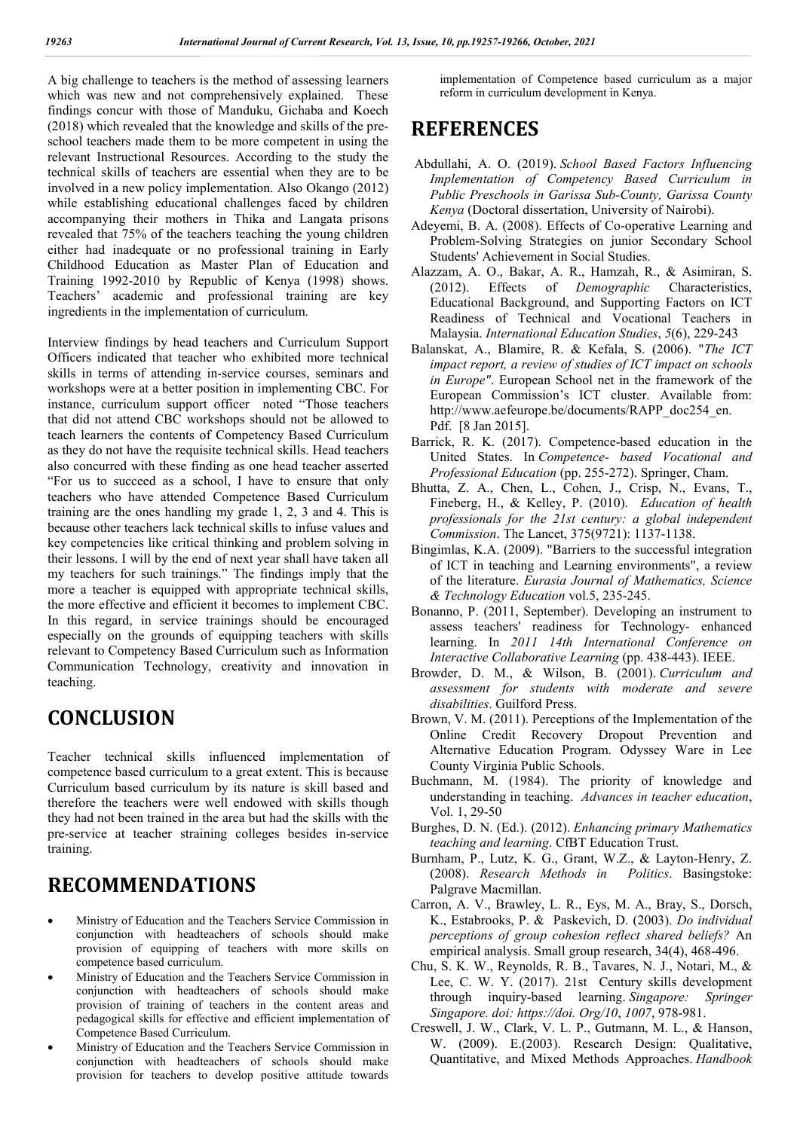A big challenge to teachers is the method of assessing learners which was new and not comprehensively explained. These findings concur with those of Manduku, Gichaba and Koech (2018) which revealed that the knowledge and skills of the preschool teachers made them to be more competent in using the relevant Instructional Resources. According to the study the technical skills of teachers are essential when they are to be involved in a new policy implementation. Also Okango (2012) while establishing educational challenges faced by children accompanying their mothers in Thika and Langata prisons revealed that 75% of the teachers teaching the young children either had inadequate or no professional training in Early Childhood Education as Master Plan of Education and Training 1992-2010 by Republic of Kenya (1998) shows. Teachers' academic and professional training are key ingredients in the implementation of curriculum.

Interview findings by head teachers and Curriculum Support Officers indicated that teacher who exhibited more technical skills in terms of attending in-service courses, seminars and workshops were at a better position in implementing CBC. For instance, curriculum support officer noted "Those teachers that did not attend CBC workshops should not be allowed to teach learners the contents of Competency Based Curriculum as they do not have the requisite technical skills. Head teachers also concurred with these finding as one head teacher asserted "For us to succeed as a school, I have to ensure that only teachers who have attended Competence Based Curriculum training are the ones handling my grade 1, 2, 3 and 4. This is because other teachers lack technical skills to infuse values and key competencies like critical thinking and problem solving in their lessons. I will by the end of next year shall have taken all my teachers for such trainings." The findings imply that the more a teacher is equipped with appropriate technical skills, the more effective and efficient it becomes to implement CBC. In this regard, in service trainings should be encouraged especially on the grounds of equipping teachers with skills relevant to Competency Based Curriculum such as Information Communication Technology, creativity and innovation in teaching.

## **CONCLUSION**

Teacher technical skills influenced implementation of competence based curriculum to a great extent. This is because Curriculum based curriculum by its nature is skill based and therefore the teachers were well endowed with skills though they had not been trained in the area but had the skills with the pre-service at teacher straining colleges besides in-service training.

## **RECOMMENDATIONS**

- Ministry of Education and the Teachers Service Commission in conjunction with headteachers of schools should make provision of equipping of teachers with more skills on competence based curriculum.
- Ministry of Education and the Teachers Service Commission in conjunction with headteachers of schools should make provision of training of teachers in the content areas and pedagogical skills for effective and efficient implementation of Competence Based Curriculum.
- Ministry of Education and the Teachers Service Commission in conjunction with headteachers of schools should make provision for teachers to develop positive attitude towards

implementation of Competence based curriculum as a major reform in curriculum development in Kenya.

### **REFERENCES**

- Abdullahi, A. O. (2019). *School Based Factors Influencing Implementation of Competency Based Curriculum in Public Preschools in Garissa Sub-County, Garissa County Kenya* (Doctoral dissertation, University of Nairobi).
- Adeyemi, B. A. (2008). Effects of Co-operative Learning and Problem-Solving Strategies on junior Secondary School Students' Achievement in Social Studies.
- Alazzam, A. O., Bakar, A. R., Hamzah, R., & Asimiran, S. (2012). Effects of *Demographic* Characteristics, Educational Background, and Supporting Factors on ICT Readiness of Technical and Vocational Teachers in Malaysia. *International Education Studies*, *5*(6), 229-243
- Balanskat, A., Blamire, R. & Kefala, S. (2006). "*The ICT impact report, a review of studies of ICT impact on schools in Europe"*. European School net in the framework of the European Commission's ICT cluster. Available from: http://www.aefeurope.be/documents/RAPP\_doc254\_en. Pdf. [8 Jan 2015].
- Barrick, R. K. (2017). Competence-based education in the United States. In *Competence- based Vocational and Professional Education* (pp. 255-272). Springer, Cham.
- Bhutta, Z. A., Chen, L., Cohen, J., Crisp, N., Evans, T., Fineberg, H., & Kelley, P. (2010). *Education of health professionals for the 21st century: a global independent Commission*. The Lancet, 375(9721): 1137-1138.
- Bingimlas, K.A. (2009). "Barriers to the successful integration of ICT in teaching and Learning environments", a review of the literature. *Eurasia Journal of Mathematics, Science & Technology Education* vol.5, 235-245.
- Bonanno, P. (2011, September). Developing an instrument to assess teachers' readiness for Technology- enhanced learning. In *2011 14th International Conference on Interactive Collaborative Learning* (pp. 438-443). IEEE.
- Browder, D. M., & Wilson, B. (2001). *Curriculum and assessment for students with moderate and severe disabilities*. Guilford Press.
- Brown, V. M. (2011). Perceptions of the Implementation of the Online Credit Recovery Dropout Prevention and Alternative Education Program. Odyssey Ware in Lee County Virginia Public Schools.
- Buchmann, M. (1984). The priority of knowledge and understanding in teaching. *Advances in teacher education*, Vol. 1, 29-50
- Burghes, D. N. (Ed.). (2012). *Enhancing primary Mathematics teaching and learning*. CfBT Education Trust.
- Burnham, P., Lutz, K. G., Grant, W.Z., & Layton-Henry, Z. (2008). *Research Methods in Politics*. Basingstoke: Palgrave Macmillan.
- Carron, A. V., Brawley, L. R., Eys, M. A., Bray, S., Dorsch, K., Estabrooks, P. & Paskevich, D. (2003). *Do individual perceptions of group cohesion reflect shared beliefs?* An empirical analysis. Small group research, 34(4), 468-496.
- Chu, S. K. W., Reynolds, R. B., Tavares, N. J., Notari, M., & Lee, C. W. Y. (2017). 21st Century skills development through inquiry-based learning. *Singapore: Springer Singapore. doi: https://doi. Org/10*, *1007*, 978-981.
- Creswell, J. W., Clark, V. L. P., Gutmann, M. L., & Hanson, W. (2009). E.(2003). Research Design: Qualitative, Quantitative, and Mixed Methods Approaches. *Handbook*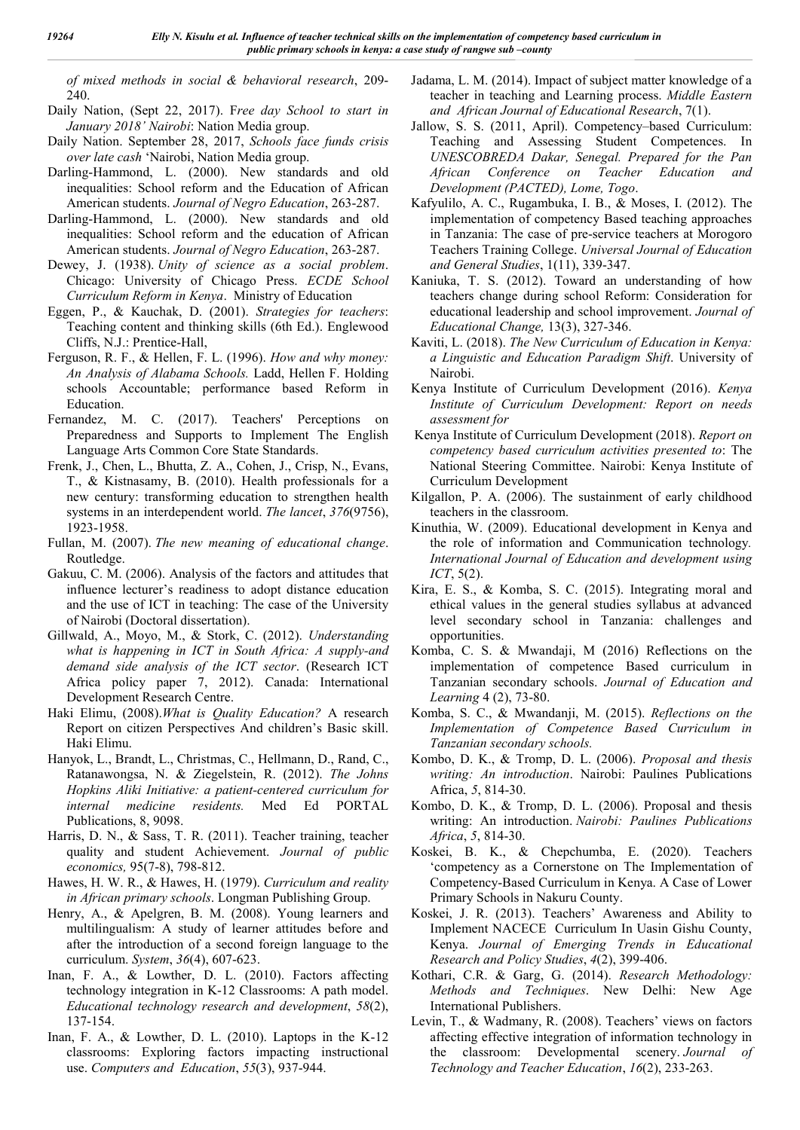*of mixed methods in social & behavioral research*, 209- 240.

- Daily Nation, (Sept 22, 2017). F*ree day School to start in January 2018' Nairobi*: Nation Media group.
- Daily Nation. September 28, 2017, *Schools face funds crisis over late cash* 'Nairobi, Nation Media group.
- Darling-Hammond, L. (2000). New standards and old inequalities: School reform and the Education of African American students. *Journal of Negro Education*, 263-287.
- Darling-Hammond, L. (2000). New standards and old inequalities: School reform and the education of African American students. *Journal of Negro Education*, 263-287.
- Dewey, J. (1938). *Unity of science as a social problem*. Chicago: University of Chicago Press. *ECDE School Curriculum Reform in Kenya*. Ministry of Education
- Eggen, P., & Kauchak, D. (2001). *Strategies for teachers*: Teaching content and thinking skills (6th Ed.). Englewood Cliffs, N.J.: Prentice-Hall,
- Ferguson, R. F., & Hellen, F. L. (1996). *How and why money: An Analysis of Alabama Schools.* Ladd, Hellen F. Holding schools Accountable; performance based Reform in Education.
- Fernandez, M. C. (2017). Teachers' Perceptions on Preparedness and Supports to Implement The English Language Arts Common Core State Standards.
- Frenk, J., Chen, L., Bhutta, Z. A., Cohen, J., Crisp, N., Evans, T., & Kistnasamy, B. (2010). Health professionals for a new century: transforming education to strengthen health systems in an interdependent world. *The lancet*, *376*(9756), 1923-1958.
- Fullan, M. (2007). *The new meaning of educational change*. Routledge.
- Gakuu, C. M. (2006). Analysis of the factors and attitudes that influence lecturer's readiness to adopt distance education and the use of ICT in teaching: The case of the University of Nairobi (Doctoral dissertation).
- Gillwald, A., Moyo, M., & Stork, C. (2012). *Understanding what is happening in ICT in South Africa: A supply-and demand side analysis of the ICT sector*. (Research ICT Africa policy paper 7, 2012). Canada: International Development Research Centre.
- Haki Elimu, (2008).*What is Quality Education?* A research Report on citizen Perspectives And children's Basic skill. Haki Elimu.
- Hanyok, L., Brandt, L., Christmas, C., Hellmann, D., Rand, C., Ratanawongsa, N. & Ziegelstein, R. (2012). *The Johns Hopkins Aliki Initiative: a patient-centered curriculum for internal medicine residents.* Med Ed PORTAL Publications, 8, 9098.
- Harris, D. N., & Sass, T. R. (2011). Teacher training, teacher quality and student Achievement. *Journal of public economics,* 95(7-8), 798-812.
- Hawes, H. W. R., & Hawes, H. (1979). *Curriculum and reality in African primary schools*. Longman Publishing Group.
- Henry, A., & Apelgren, B. M. (2008). Young learners and multilingualism: A study of learner attitudes before and after the introduction of a second foreign language to the curriculum. *System*, *36*(4), 607-623.
- Inan, F. A., & Lowther, D. L. (2010). Factors affecting technology integration in K-12 Classrooms: A path model. *Educational technology research and development*, *58*(2), 137-154.
- Inan, F. A., & Lowther, D. L. (2010). Laptops in the K-12 classrooms: Exploring factors impacting instructional use. *Computers and Education*, *55*(3), 937-944.
- Jadama, L. M. (2014). Impact of subject matter knowledge of a teacher in teaching and Learning process. *Middle Eastern and African Journal of Educational Research*, 7(1).
- Jallow, S. S. (2011, April). Competency–based Curriculum: Teaching and Assessing Student Competences. In *UNESCOBREDA Dakar, Senegal. Prepared for the Pan African Conference on Teacher Education and Development (PACTED), Lome, Togo*.
- Kafyulilo, A. C., Rugambuka, I. B., & Moses, I. (2012). The implementation of competency Based teaching approaches in Tanzania: The case of pre-service teachers at Morogoro Teachers Training College. *Universal Journal of Education and General Studies*, 1(11), 339-347.
- Kaniuka, T. S. (2012). Toward an understanding of how teachers change during school Reform: Consideration for educational leadership and school improvement. *Journal of Educational Change,* 13(3), 327-346.
- Kaviti, L. (2018). *The New Curriculum of Education in Kenya: a Linguistic and Education Paradigm Shift*. University of Nairobi.
- Kenya Institute of Curriculum Development (2016). *Kenya Institute of Curriculum Development: Report on needs assessment for*
- Kenya Institute of Curriculum Development (2018). *Report on competency based curriculum activities presented to*: The National Steering Committee. Nairobi: Kenya Institute of Curriculum Development
- Kilgallon, P. A. (2006). The sustainment of early childhood teachers in the classroom.
- Kinuthia, W. (2009). Educational development in Kenya and the role of information and Communication technology*. International Journal of Education and development using ICT*, 5(2).
- Kira, E. S., & Komba, S. C. (2015). Integrating moral and ethical values in the general studies syllabus at advanced level secondary school in Tanzania: challenges and opportunities.
- Komba, C. S. & Mwandaji, M (2016) Reflections on the implementation of competence Based curriculum in Tanzanian secondary schools. *Journal of Education and Learning* 4 (2), 73-80.
- Komba, S. C., & Mwandanji, M. (2015). *Reflections on the Implementation of Competence Based Curriculum in Tanzanian secondary schools.*
- Kombo, D. K., & Tromp, D. L. (2006). *Proposal and thesis writing: An introduction*. Nairobi: Paulines Publications Africa, *5*, 814-30.
- Kombo, D. K., & Tromp, D. L. (2006). Proposal and thesis writing: An introduction. *Nairobi: Paulines Publications Africa*, *5*, 814-30.
- Koskei, B. K., & Chepchumba, E. (2020). Teachers 'competency as a Cornerstone on The Implementation of Competency-Based Curriculum in Kenya. A Case of Lower Primary Schools in Nakuru County.
- Koskei, J. R. (2013). Teachers' Awareness and Ability to Implement NACECE Curriculum In Uasin Gishu County, Kenya. *Journal of Emerging Trends in Educational Research and Policy Studies*, *4*(2), 399-406.
- Kothari, C.R. & Garg, G. (2014). *Research Methodology: Methods and Techniques*. New Delhi: New Age International Publishers.
- Levin, T., & Wadmany, R. (2008). Teachers' views on factors affecting effective integration of information technology in the classroom: Developmental scenery. *Journal of Technology and Teacher Education*, *16*(2), 233-263.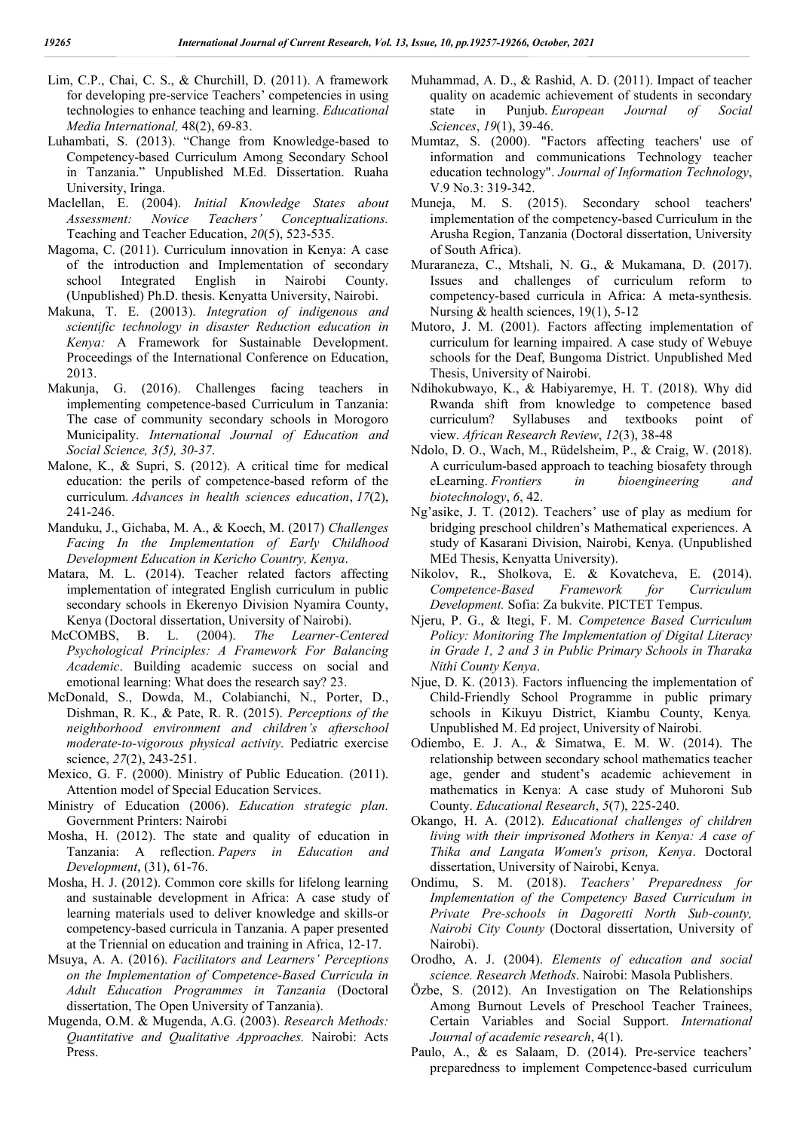- Lim, C.P., Chai, C. S., & Churchill, D. (2011). A framework for developing pre-service Teachers' competencies in using technologies to enhance teaching and learning. *Educational Media International,* 48(2), 69-83.
- Luhambati, S. (2013). "Change from Knowledge-based to Competency-based Curriculum Among Secondary School in Tanzania." Unpublished M.Ed. Dissertation. Ruaha University, Iringa.
- Maclellan, E. (2004). *Initial Knowledge States about Assessment: Novice Teachers' Conceptualizations.* Teaching and Teacher Education, *20*(5), 523-535.
- Magoma, C. (2011). Curriculum innovation in Kenya: A case of the introduction and Implementation of secondary school Integrated English in Nairobi County. (Unpublished) Ph.D. thesis. Kenyatta University, Nairobi.
- Makuna, T. E. (20013). *Integration of indigenous and scientific technology in disaster Reduction education in Kenya:* A Framework for Sustainable Development. Proceedings of the International Conference on Education, 2013.
- Makunja, G. (2016). Challenges facing teachers in implementing competence-based Curriculum in Tanzania: The case of community secondary schools in Morogoro Municipality. *International Journal of Education and Social Science, 3(5), 30-37*.
- Malone, K., & Supri, S. (2012). A critical time for medical education: the perils of competence-based reform of the curriculum. *Advances in health sciences education*, *17*(2), 241-246.
- Manduku, J., Gichaba, M. A., & Koech, M. (2017) *Challenges Facing In the Implementation of Early Childhood Development Education in Kericho Country, Kenya*.
- Matara, M. L. (2014). Teacher related factors affecting implementation of integrated English curriculum in public secondary schools in Ekerenyo Division Nyamira County, Kenya (Doctoral dissertation, University of Nairobi).
- McCOMBS, B. L. (2004). *The Learner-Centered Psychological Principles: A Framework For Balancing Academic*. Building academic success on social and emotional learning: What does the research say? 23.
- McDonald, S., Dowda, M., Colabianchi, N., Porter, D., Dishman, R. K., & Pate, R. R. (2015). *Perceptions of the neighborhood environment and children's afterschool moderate-to-vigorous physical activity*. Pediatric exercise science, *27*(2), 243-251.
- Mexico, G. F. (2000). Ministry of Public Education. (2011). Attention model of Special Education Services.
- Ministry of Education (2006). *Education strategic plan.*  Government Printers: Nairobi
- Mosha, H. (2012). The state and quality of education in Tanzania: A reflection. *Papers in Education and Development*, (31), 61-76.
- Mosha, H. J. (2012). Common core skills for lifelong learning and sustainable development in Africa: A case study of learning materials used to deliver knowledge and skills-or competency-based curricula in Tanzania. A paper presented at the Triennial on education and training in Africa, 12-17.
- Msuya, A. A. (2016). *Facilitators and Learners' Perceptions on the Implementation of Competence-Based Curricula in Adult Education Programmes in Tanzania* (Doctoral dissertation, The Open University of Tanzania).
- Mugenda, O.M. & Mugenda, A.G. (2003). *Research Methods: Quantitative and Qualitative Approaches.* Nairobi: Acts Press.
- Muhammad, A. D., & Rashid, A. D. (2011). Impact of teacher quality on academic achievement of students in secondary state in Punjub. *European Journal of Social Sciences*, *19*(1), 39-46.
- Mumtaz, S. (2000). "Factors affecting teachers' use of information and communications Technology teacher education technology". *Journal of Information Technology*, V.9 No.3: 319-342.
- Muneja, M. S. (2015). Secondary school teachers' implementation of the competency-based Curriculum in the Arusha Region, Tanzania (Doctoral dissertation, University of South Africa).
- Muraraneza, C., Mtshali, N. G., & Mukamana, D. (2017). Issues and challenges of curriculum reform to competency‐based curricula in Africa: A meta‐synthesis. Nursing & health sciences, 19(1), 5-12
- Mutoro, J. M. (2001). Factors affecting implementation of curriculum for learning impaired. A case study of Webuye schools for the Deaf, Bungoma District. Unpublished Med Thesis, University of Nairobi.
- Ndihokubwayo, K., & Habiyaremye, H. T. (2018). Why did Rwanda shift from knowledge to competence based curriculum? Syllabuses and textbooks point of view. *African Research Review*, *12*(3), 38-48
- Ndolo, D. O., Wach, M., Rüdelsheim, P., & Craig, W. (2018). A curriculum-based approach to teaching biosafety through eLearning. *Frontiers in bioengineering and biotechnology*, *6*, 42.
- Ng'asike, J. T. (2012). Teachers' use of play as medium for bridging preschool children's Mathematical experiences. A study of Kasarani Division, Nairobi, Kenya. (Unpublished MEd Thesis, Kenyatta University).
- Nikolov, R., Sholkova, E. & Kovatcheva, E. (2014). *Competence-Based Framework for Curriculum Development.* Sofia: Za bukvite. PICTET Tempus.
- Njeru, P. G., & Itegi, F. M. *Competence Based Curriculum Policy: Monitoring The Implementation of Digital Literacy in Grade 1, 2 and 3 in Public Primary Schools in Tharaka Nithi County Kenya*.
- Njue, D. K. (2013). Factors influencing the implementation of Child-Friendly School Programme in public primary schools in Kikuyu District, Kiambu County, Kenya*.* Unpublished M. Ed project, University of Nairobi.
- Odiembo, E. J. A., & Simatwa, E. M. W. (2014). The relationship between secondary school mathematics teacher age, gender and student's academic achievement in mathematics in Kenya: A case study of Muhoroni Sub County. *Educational Research*, *5*(7), 225-240.
- Okango, H. A. (2012). *Educational challenges of children living with their imprisoned Mothers in Kenya: A case of Thika and Langata Women's prison, Kenya*. Doctoral dissertation, University of Nairobi, Kenya.
- Ondimu, S. M. (2018). *Teachers' Preparedness for Implementation of the Competency Based Curriculum in Private Pre-schools in Dagoretti North Sub-county, Nairobi City County* (Doctoral dissertation, University of Nairobi).
- Orodho, A. J. (2004). *Elements of education and social science. Research Methods*. Nairobi: Masola Publishers.
- Özbe, S. (2012). An Investigation on The Relationships Among Burnout Levels of Preschool Teacher Trainees, Certain Variables and Social Support. *International Journal of academic research*, 4(1).
- Paulo, A., & es Salaam, D. (2014). Pre-service teachers' preparedness to implement Competence-based curriculum